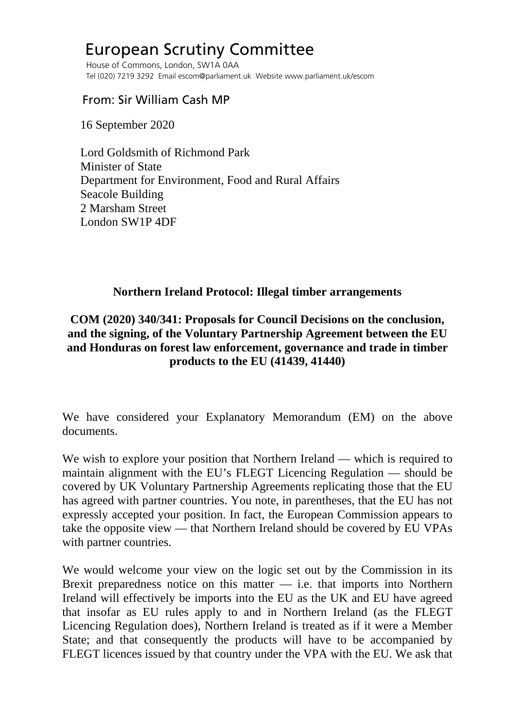# European Scrutiny Committee

 House of Commons, London, SW1A 0AA Tel (020) 7219 3292 Email escom@parliament.uk Website www.parliament.uk/escom

## From: Sir William Cash MP

16 September 2020

 Lord Goldsmith of Richmond Park Minister of State Department for Environment, Food and Rural Affairs Seacole Building 2 Marsham Street London SW1P 4DF

#### **Northern Ireland Protocol: Illegal timber arrangements**

## **COM (2020) 340/341: Proposals for Council Decisions on the conclusion, and the signing, of the Voluntary Partnership Agreement between the EU and Honduras on forest law enforcement, governance and trade in timber products to the EU (41439, 41440)**

We have considered your Explanatory Memorandum (EM) on the above documents.

We wish to explore your position that Northern Ireland — which is required to maintain alignment with the EU's FLEGT Licencing Regulation — should be covered by UK Voluntary Partnership Agreements replicating those that the EU has agreed with partner countries. You note, in parentheses, that the EU has not expressly accepted your position. In fact, the European Commission appears to take the opposite view — that Northern Ireland should be covered by EU VPAs with partner countries.

We would welcome your view on the logic set out by the Commission in its Brexit preparedness notice on this matter  $-$  i.e. that imports into Northern Ireland will effectively be imports into the EU as the UK and EU have agreed that insofar as EU rules apply to and in Northern Ireland (as the FLEGT Licencing Regulation does), Northern Ireland is treated as if it were a Member State; and that consequently the products will have to be accompanied by FLEGT licences issued by that country under the VPA with the EU. We ask that